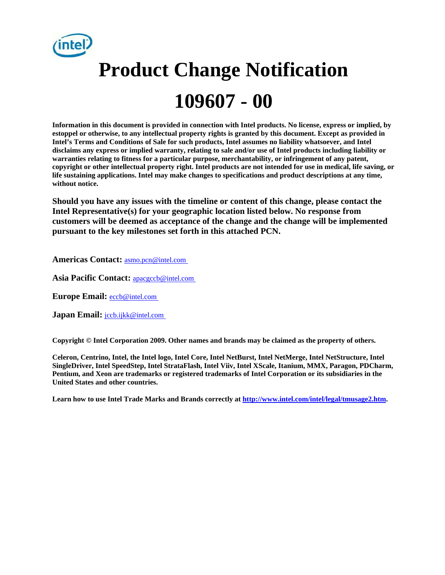

# **Product Change Notification 109607 - 00**

**Information in this document is provided in connection with Intel products. No license, express or implied, by estoppel or otherwise, to any intellectual property rights is granted by this document. Except as provided in Intel's Terms and Conditions of Sale for such products, Intel assumes no liability whatsoever, and Intel disclaims any express or implied warranty, relating to sale and/or use of Intel products including liability or warranties relating to fitness for a particular purpose, merchantability, or infringement of any patent, copyright or other intellectual property right. Intel products are not intended for use in medical, life saving, or life sustaining applications. Intel may make changes to specifications and product descriptions at any time, without notice.** 

**Should you have any issues with the timeline or content of this change, please contact the Intel Representative(s) for your geographic location listed below. No response from customers will be deemed as acceptance of the change and the change will be implemented pursuant to the key milestones set forth in this attached PCN.** 

**Americas Contact:** [asmo.pcn@intel.com](mailto:asmo.pcn@intel.com)

**Asia Pacific Contact:** [apacgccb@intel.com](mailto:apacgccb@intel.com)

**Europe Email:** [eccb@intel.com](mailto:eccb@intel.com)

**Japan Email: [jccb.ijkk@intel.com](mailto:jccb.ijkk@intel.com)** 

**Copyright © Intel Corporation 2009. Other names and brands may be claimed as the property of others.**

**Celeron, Centrino, Intel, the Intel logo, Intel Core, Intel NetBurst, Intel NetMerge, Intel NetStructure, Intel SingleDriver, Intel SpeedStep, Intel StrataFlash, Intel Viiv, Intel XScale, Itanium, MMX, Paragon, PDCharm, Pentium, and Xeon are trademarks or registered trademarks of Intel Corporation or its subsidiaries in the United States and other countries.** 

Learn how to use Intel Trade Marks and Brands correctly at **<http://www.intel.com/intel/legal/tmusage2.htm>.**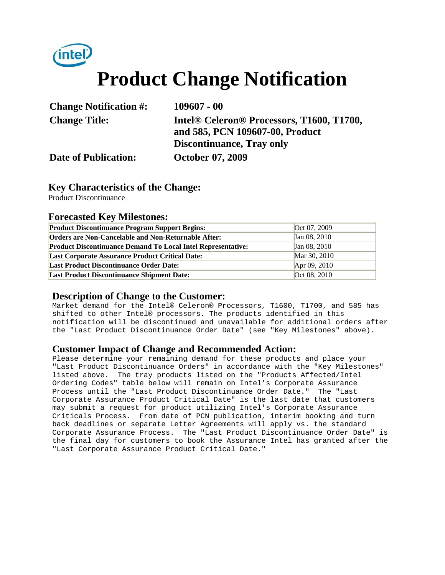

## **Product Change Notification**

| <b>Change Notification #:</b> | $109607 - 00$                                                                                        |  |
|-------------------------------|------------------------------------------------------------------------------------------------------|--|
| <b>Change Title:</b>          | Intel <sup>®</sup> Celeron <sup>®</sup> Processors, T1600, T1700,<br>and 585, PCN 109607-00, Product |  |
|                               | <b>Discontinuance, Tray only</b>                                                                     |  |
| <b>Date of Publication:</b>   | <b>October 07, 2009</b>                                                                              |  |

#### **Key Characteristics of the Change:**

Product Discontinuance

#### **Forecasted Key Milestones:**

| <b>Product Discontinuance Program Support Begins:</b>               | Oct 07, 2009 |
|---------------------------------------------------------------------|--------------|
| <b>Orders are Non-Cancelable and Non-Returnable After:</b>          | Jan 08, 2010 |
| <b>Product Discontinuance Demand To Local Intel Representative:</b> | Jan 08, 2010 |
| <b>Last Corporate Assurance Product Critical Date:</b>              | Mar 30, 2010 |
| <b>Last Product Discontinuance Order Date:</b>                      | Apr 09, 2010 |
| <b>Last Product Discontinuance Shipment Date:</b>                   | Oct 08, 2010 |

#### **Description of Change to the Customer:**

Market demand for the Intel® Celeron® Processors, T1600, T1700, and 585 has shifted to other Intel® processors. The products identified in this notification will be discontinued and unavailable for additional orders after the "Last Product Discontinuance Order Date" (see "Key Milestones" above).

#### **Customer Impact of Change and Recommended Action:**

Please determine your remaining demand for these products and place your "Last Product Discontinuance Orders" in accordance with the "Key Milestones" listed above. The tray products listed on the "Products Affected/Intel Ordering Codes" table below will remain on Intel's Corporate Assurance Process until the "Last Product Discontinuance Order Date." The "Last Corporate Assurance Product Critical Date" is the last date that customers may submit a request for product utilizing Intel's Corporate Assurance Criticals Process. From date of PCN publication, interim booking and turn back deadlines or separate Letter Agreements will apply vs. the standard Corporate Assurance Process. The "Last Product Discontinuance Order Date" is the final day for customers to book the Assurance Intel has granted after the "Last Corporate Assurance Product Critical Date."